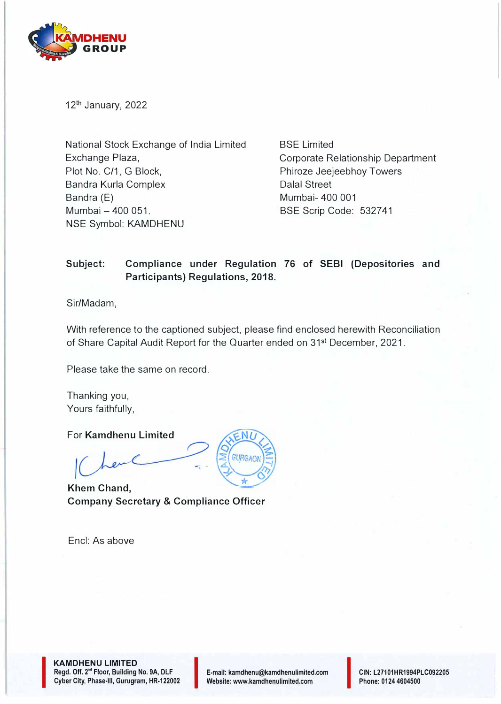

12<sup>th</sup> January, 2022

National Stock Exchange of India Limited Exchange Plaza, Plot No. C/1, G Block, Bandra Kurla Complex Bandra (E) Mumbai - 400 051. NSE Symbol: KAMDHENU

BSE Limited Corporate Relationship Department Phiroze Jeejeebhoy Towers Dalal Street Mumbai- 400 001 BSE Scrip Code: 532741

### **Subject: Compliance under Regulation 76 of SEBI (Depositories and Participants) Regulations, 2018.**

Sir/Madam,

With reference to the captioned subject, please find enclosed herewith Reconciliation of Share Capital Audit Report for the Quarter ended on 31st December, 2021.

Please take the same on record.

Thanking you, Yours faithfully,

For **Kamdhenu Limited** 

**Khem Chand, Company Secretary & Compliance Officer** 

Encl: As above



**KAMDHENU LIMITED Regd. Off. 2° • Floor, Building No. 9A, DLF CAMDHENU LIMITED<br>Regd. Off. 2<sup>nd</sup> Floor, Building No. 9A, DLF<br>Cyber City, Phase-III, Gurugram, HR-122002** 

I

E-mail: kamdhenu@kamdhenulimited.com E-mail: kamdhenu@kamdhenulimited.com<br>Website: www.kamdhenulimited.com

**CIN:** L27101HR1994PLC092205 Phone: 0124 4604500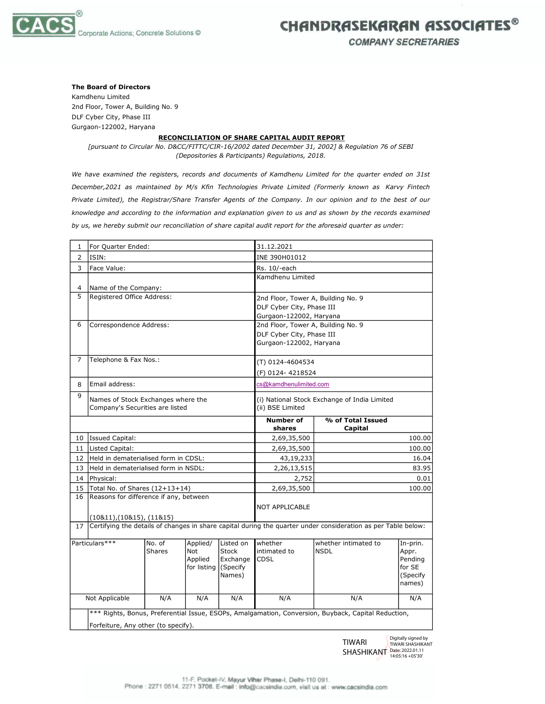

# CHANDRASEKARAN ASSOCIATES®

**COMPANY SECRETARIES** 

#### The Board of Directors

Kamdhenu Limited 2nd Floor, Tower A, Building No. 9 DLF Cyber City, Phase III Gurgaon-122002, Haryana

#### RECONCILIATION OF SHARE CAPITAL AUDIT REPORT

[pursuant to Circular No. D&CC/FITTC/CIR-16/2002 dated December 31, 2002] & Regulation 76 of SEBI (Depositories & Participants) Regulations, 2018.

We have examined the registers, records and documents of Kamdhenu Limited for the quarter ended on 31st December,2021 as maintained by M/s Kfin Technologies Private Limited (Formerly known as Karvy Fintech Private Limited), the Registrar/Share Transfer Agents of the Company. In our opinion and to the best of our knowledge and according to the information and explanation given to us and as shown by the records examined by us, we hereby submit our reconciliation of share capital audit report for the aforesaid quarter as under:

| $\mathbf{1}$   | For Quarter Ended:                                                                                            |                         |                                                  |                                                             | 31.12.2021                         |                                     |                                                              |  |
|----------------|---------------------------------------------------------------------------------------------------------------|-------------------------|--------------------------------------------------|-------------------------------------------------------------|------------------------------------|-------------------------------------|--------------------------------------------------------------|--|
| 2              | ISIN:                                                                                                         |                         |                                                  |                                                             | INE 390H01012                      |                                     |                                                              |  |
| 3              | Face Value:                                                                                                   |                         |                                                  |                                                             | Rs. 10/-each                       |                                     |                                                              |  |
|                |                                                                                                               |                         |                                                  |                                                             | Kamdhenu Limited                   |                                     |                                                              |  |
| $\overline{4}$ | Name of the Company:                                                                                          |                         |                                                  |                                                             |                                    |                                     |                                                              |  |
| 5              | Registered Office Address:                                                                                    |                         |                                                  |                                                             | 2nd Floor, Tower A, Building No. 9 |                                     |                                                              |  |
|                |                                                                                                               |                         |                                                  | DLF Cyber City, Phase III                                   |                                    |                                     |                                                              |  |
|                |                                                                                                               |                         |                                                  |                                                             | Gurgaon-122002, Haryana            |                                     |                                                              |  |
| 6              | Correspondence Address:                                                                                       |                         |                                                  |                                                             | 2nd Floor, Tower A, Building No. 9 |                                     |                                                              |  |
|                |                                                                                                               |                         |                                                  |                                                             | DLF Cyber City, Phase III          |                                     |                                                              |  |
|                |                                                                                                               |                         |                                                  | Gurgaon-122002, Haryana                                     |                                    |                                     |                                                              |  |
| 7              | Telephone & Fax Nos.:                                                                                         |                         |                                                  |                                                             | (T) 0124-4604534                   |                                     |                                                              |  |
|                |                                                                                                               |                         |                                                  |                                                             | (F) 0124-4218524                   |                                     |                                                              |  |
| 8              | Email address:                                                                                                |                         |                                                  |                                                             | cs@kamdhenulimited.com             |                                     |                                                              |  |
| 9              | Names of Stock Exchanges where the                                                                            |                         |                                                  | (i) National Stock Exchange of India Limited                |                                    |                                     |                                                              |  |
|                | Company's Securities are listed                                                                               |                         | (ii) BSE Limited                                 |                                                             |                                    |                                     |                                                              |  |
|                |                                                                                                               |                         |                                                  |                                                             | <b>Number of</b><br>shares         | % of Total Issued<br>Capital        |                                                              |  |
| 10             | <b>Issued Capital:</b>                                                                                        |                         |                                                  |                                                             | 2,69,35,500                        |                                     | 100.00                                                       |  |
| 11             | Listed Capital:                                                                                               |                         |                                                  |                                                             | 2,69,35,500                        | 100.00                              |                                                              |  |
| 12             | Held in dematerialised form in CDSL:                                                                          |                         |                                                  |                                                             | 43,19,233                          | 16.04                               |                                                              |  |
| 13             | Held in dematerialised form in NSDL:                                                                          |                         |                                                  |                                                             | 2,26,13,515                        | 83.95                               |                                                              |  |
| 14             | Physical:                                                                                                     |                         |                                                  |                                                             | 2,752                              | 0.01                                |                                                              |  |
| 15             | Total No. of Shares (12+13+14)                                                                                |                         |                                                  |                                                             | 2,69,35,500                        | 100.00                              |                                                              |  |
| 16             | Reasons for difference if any, between                                                                        |                         |                                                  |                                                             |                                    |                                     |                                                              |  |
|                |                                                                                                               |                         |                                                  |                                                             | NOT APPLICABLE                     |                                     |                                                              |  |
|                | (10811), (10815), (11815)                                                                                     |                         |                                                  |                                                             |                                    |                                     |                                                              |  |
| 17             | Certifying the details of changes in share capital during the quarter under consideration as per Table below: |                         |                                                  |                                                             |                                    |                                     |                                                              |  |
| Particulars*** |                                                                                                               | No. of<br><b>Shares</b> | Applied/<br><b>Not</b><br>Applied<br>for listing | Listed on<br><b>Stock</b><br>Exchange<br>(Specify<br>Names) | whether<br>intimated to<br>CDSL    | whether intimated to<br><b>NSDL</b> | In-prin.<br>Appr.<br>Pending<br>for SE<br>(Specify<br>names) |  |
| Not Applicable |                                                                                                               | N/A                     | N/A                                              | N/A                                                         | N/A                                | N/A                                 | N/A                                                          |  |
|                | *** Rights, Bonus, Preferential Issue, ESOPs, Amalgamation, Conversion, Buyback, Capital Reduction,           |                         |                                                  |                                                             |                                    |                                     |                                                              |  |
|                | Forfeiture, Any other (to specify).                                                                           |                         |                                                  |                                                             |                                    |                                     |                                                              |  |
|                |                                                                                                               |                         |                                                  |                                                             |                                    |                                     |                                                              |  |

TIWARI SHASHIKANT Date: 2022.01.11 Digitally signed by TIWARI SHASHIKANT